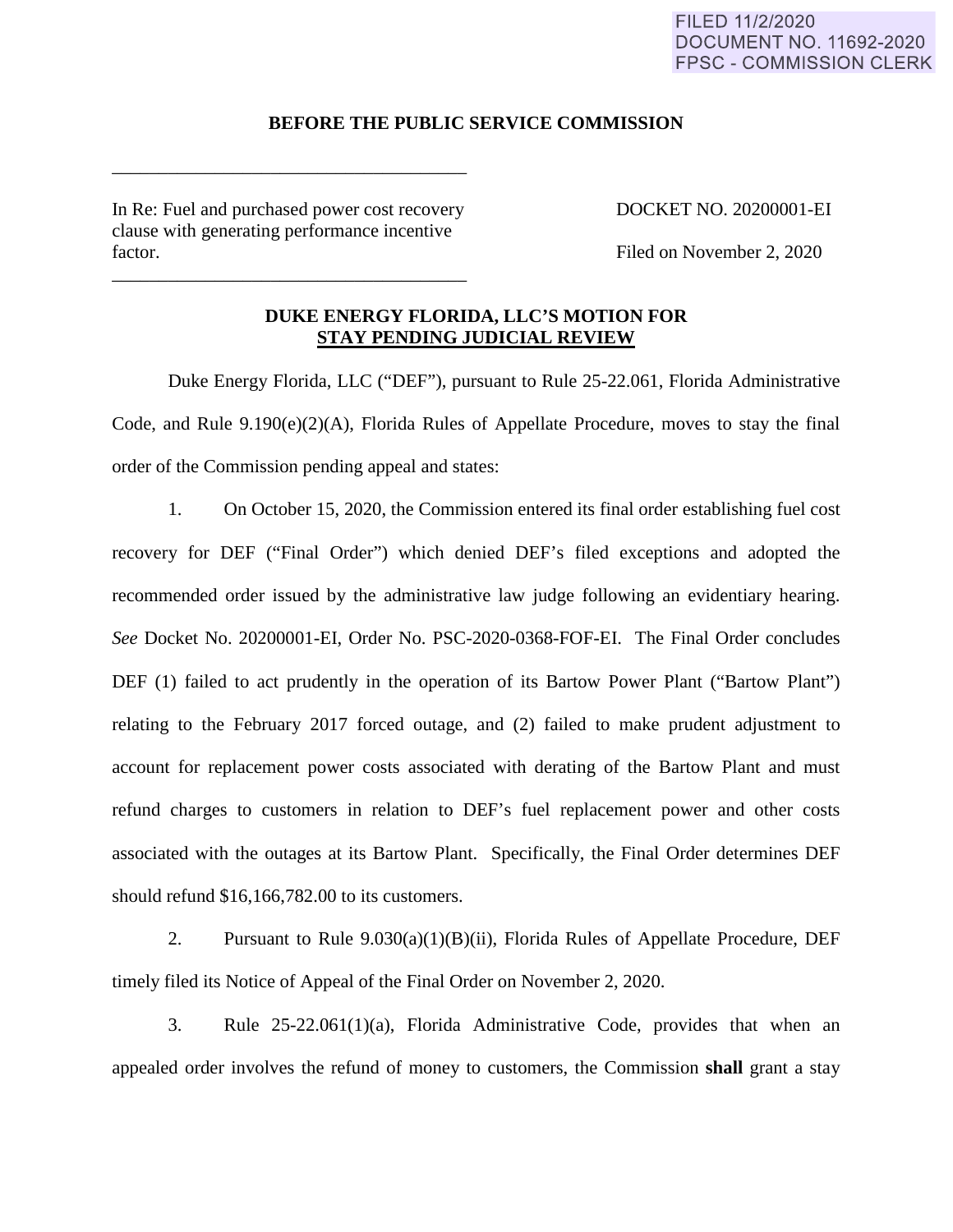## FILED 11/2/2020 **DOCUMENT NO. 11692-2020 FPSC - COMMISSION CLERK**

### **BEFORE THE PUBLIC SERVICE COMMISSION**

In Re: Fuel and purchased power cost recovery DOCKET NO. 20200001-EI clause with generating performance incentive factor. Filed on November 2, 2020

\_\_\_\_\_\_\_\_\_\_\_\_\_\_\_\_\_\_\_\_\_\_\_\_\_\_\_\_\_\_\_\_\_\_\_\_\_\_

\_\_\_\_\_\_\_\_\_\_\_\_\_\_\_\_\_\_\_\_\_\_\_\_\_\_\_\_\_\_\_\_\_\_\_\_\_\_

## **DUKE ENERGY FLORIDA, LLC'S MOTION FOR STAY PENDING JUDICIAL REVIEW**

Duke Energy Florida, LLC ("DEF"), pursuant to Rule 25-22.061, Florida Administrative Code, and Rule 9.190(e)(2)(A), Florida Rules of Appellate Procedure, moves to stay the final order of the Commission pending appeal and states:

1. On October 15, 2020, the Commission entered its final order establishing fuel cost recovery for DEF ("Final Order") which denied DEF's filed exceptions and adopted the recommended order issued by the administrative law judge following an evidentiary hearing. *See* Docket No. 20200001-EI, Order No. PSC-2020-0368-FOF-EI. The Final Order concludes DEF (1) failed to act prudently in the operation of its Bartow Power Plant ("Bartow Plant") relating to the February 2017 forced outage, and (2) failed to make prudent adjustment to account for replacement power costs associated with derating of the Bartow Plant and must refund charges to customers in relation to DEF's fuel replacement power and other costs associated with the outages at its Bartow Plant. Specifically, the Final Order determines DEF should refund \$16,166,782.00 to its customers.

2. Pursuant to Rule 9.030(a)(1)(B)(ii), Florida Rules of Appellate Procedure, DEF timely filed its Notice of Appeal of the Final Order on November 2, 2020.

3. Rule 25-22.061(1)(a), Florida Administrative Code, provides that when an appealed order involves the refund of money to customers, the Commission **shall** grant a stay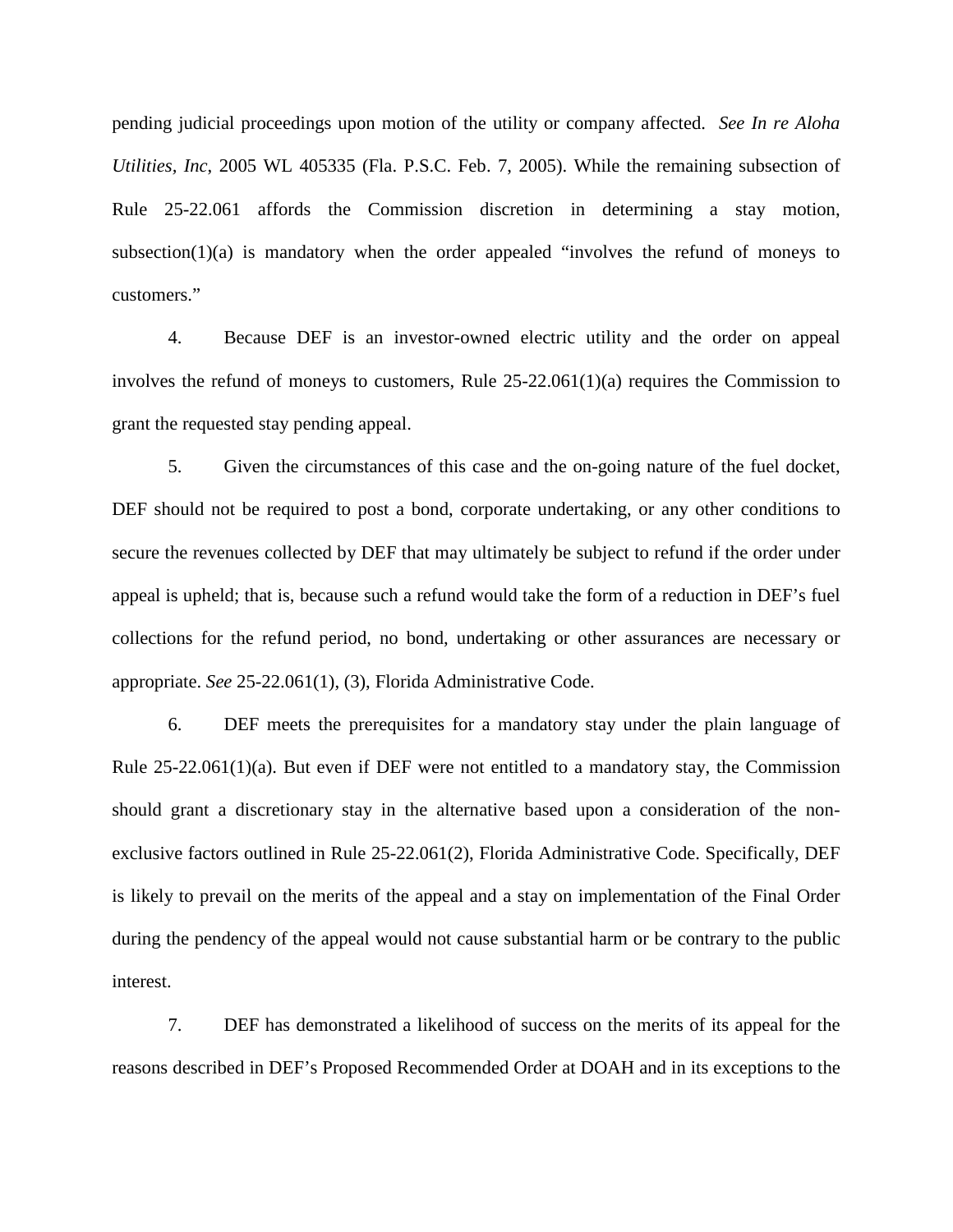pending judicial proceedings upon motion of the utility or company affected. *See In re Aloha Utilities, Inc*, 2005 WL 405335 (Fla. P.S.C. Feb. 7, 2005). While the remaining subsection of Rule 25-22.061 affords the Commission discretion in determining a stay motion, subsection( $1$ )(a) is mandatory when the order appealed "involves the refund of moneys to customers."

4. Because DEF is an investor-owned electric utility and the order on appeal involves the refund of moneys to customers, Rule 25-22.061(1)(a) requires the Commission to grant the requested stay pending appeal.

5. Given the circumstances of this case and the on-going nature of the fuel docket, DEF should not be required to post a bond, corporate undertaking, or any other conditions to secure the revenues collected by DEF that may ultimately be subject to refund if the order under appeal is upheld; that is, because such a refund would take the form of a reduction in DEF's fuel collections for the refund period, no bond, undertaking or other assurances are necessary or appropriate. *See* 25-22.061(1), (3), Florida Administrative Code.

6. DEF meets the prerequisites for a mandatory stay under the plain language of Rule 25-22.061(1)(a). But even if DEF were not entitled to a mandatory stay, the Commission should grant a discretionary stay in the alternative based upon a consideration of the nonexclusive factors outlined in Rule 25-22.061(2), Florida Administrative Code. Specifically, DEF is likely to prevail on the merits of the appeal and a stay on implementation of the Final Order during the pendency of the appeal would not cause substantial harm or be contrary to the public interest.

7. DEF has demonstrated a likelihood of success on the merits of its appeal for the reasons described in DEF's Proposed Recommended Order at DOAH and in its exceptions to the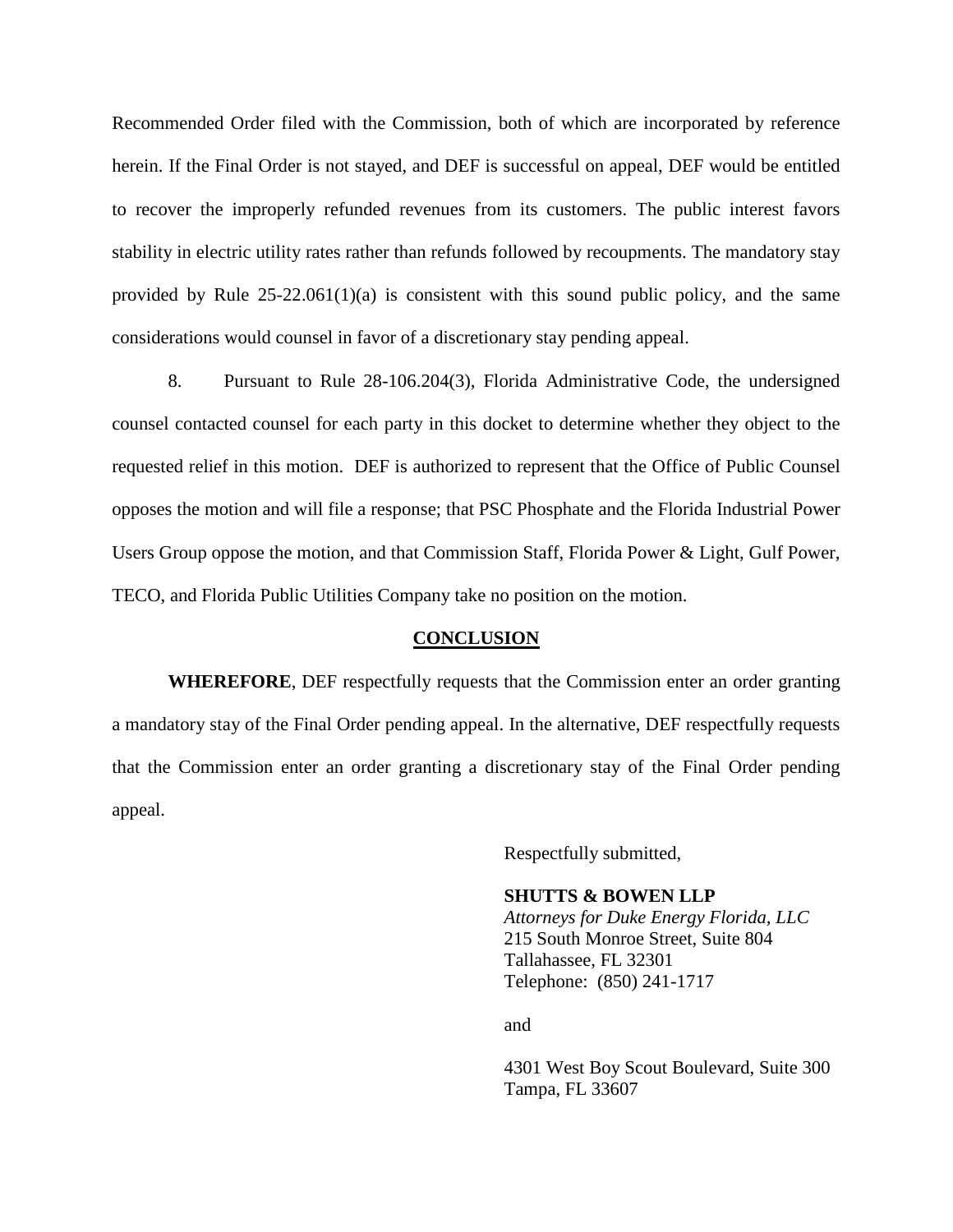Recommended Order filed with the Commission, both of which are incorporated by reference herein. If the Final Order is not stayed, and DEF is successful on appeal, DEF would be entitled to recover the improperly refunded revenues from its customers. The public interest favors stability in electric utility rates rather than refunds followed by recoupments. The mandatory stay provided by Rule  $25-22.061(1)(a)$  is consistent with this sound public policy, and the same considerations would counsel in favor of a discretionary stay pending appeal.

8. Pursuant to Rule 28-106.204(3), Florida Administrative Code, the undersigned counsel contacted counsel for each party in this docket to determine whether they object to the requested relief in this motion. DEF is authorized to represent that the Office of Public Counsel opposes the motion and will file a response; that PSC Phosphate and the Florida Industrial Power Users Group oppose the motion, and that Commission Staff, Florida Power & Light, Gulf Power, TECO, and Florida Public Utilities Company take no position on the motion.

#### **CONCLUSION**

**WHEREFORE**, DEF respectfully requests that the Commission enter an order granting a mandatory stay of the Final Order pending appeal. In the alternative, DEF respectfully requests that the Commission enter an order granting a discretionary stay of the Final Order pending appeal.

Respectfully submitted,

#### **SHUTTS & BOWEN LLP**

*Attorneys for Duke Energy Florida, LLC*  215 South Monroe Street, Suite 804 Tallahassee, FL 32301 Telephone: (850) 241-1717

and

4301 West Boy Scout Boulevard, Suite 300 Tampa, FL 33607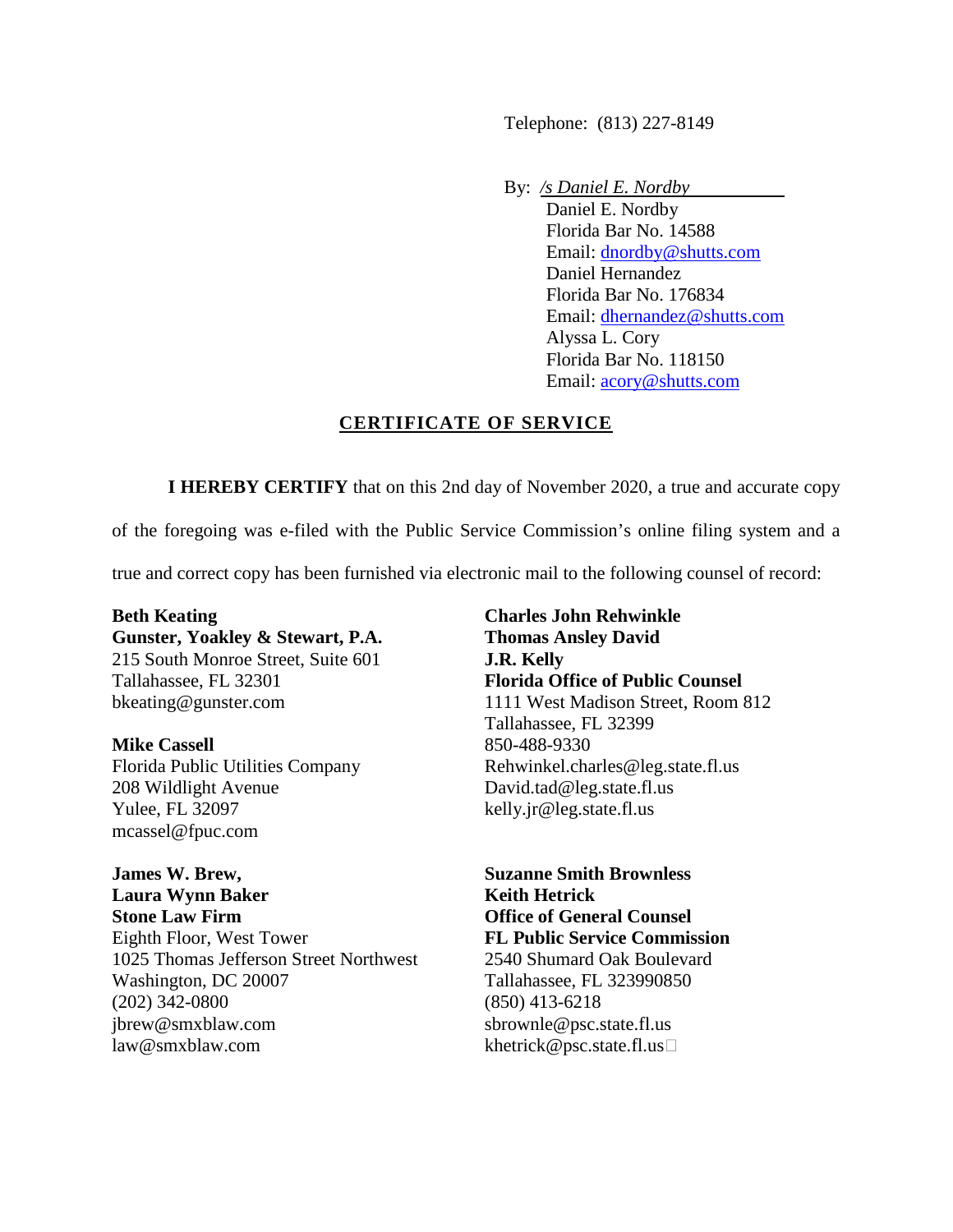Telephone: (813) 227-8149

By: */s Daniel E. Nordby* 

Daniel E. Nordby Florida Bar No. 14588 Email: dnordby@shutts.com Daniel Hernandez Florida Bar No. 176834 Email: dhernandez@shutts.com Alyssa L. Cory Florida Bar No. 118150 Email: acory@shutts.com

# **CERTIFICATE OF SERVICE**

**I HEREBY CERTIFY** that on this 2nd day of November 2020, a true and accurate copy

of the foregoing was e-filed with the Public Service Commission's online filing system and a

true and correct copy has been furnished via electronic mail to the following counsel of record:

**Beth Keating Gunster, Yoakley & Stewart, P.A.**  215 South Monroe Street, Suite 601 Tallahassee, FL 32301 bkeating@gunster.com

**Mike Cassell**  Florida Public Utilities Company 208 Wildlight Avenue Yulee, FL 32097 mcassel@fpuc.com

**James W. Brew, Laura Wynn Baker Stone Law Firm** Eighth Floor, West Tower 1025 Thomas Jefferson Street Northwest Washington, DC 20007 (202) 342-0800 jbrew@smxblaw.com law@smxblaw.com

**Charles John Rehwinkle Thomas Ansley David J.R. Kelly Florida Office of Public Counsel**  1111 West Madison Street, Room 812 Tallahassee, FL 32399 850-488-9330 Rehwinkel.charles@leg.state.fl.us David.tad@leg.state.fl.us kelly.jr@leg.state.fl.us

**Suzanne Smith Brownless Keith Hetrick Office of General Counsel FL Public Service Commission** 2540 Shumard Oak Boulevard Tallahassee, FL 323990850 (850) 413-6218 sbrownle@psc.state.fl.us khetrick@psc.state.fl.us